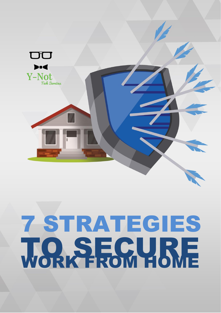

## 7 STRATEGIES **TO SECURE**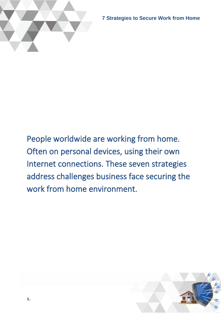

**7 Strategies to Secure Work from Home** 

People worldwide are working from home. Often on personal devices, using their own Internet connections. These seven strategies address challenges business face securing the work from home environment.

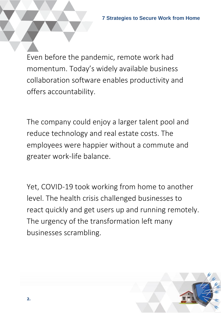Even before the pandemic, remote work had momentum. Today's widely available business collaboration software enables productivity and offers accountability.

The company could enjoy a larger talent pool and reduce technology and real estate costs. The employees were happier without a commute and greater work-life balance.

Yet, COVID-19 took working from home to another level. The health crisis challenged businesses to react quickly and get users up and running remotely. The urgency of the transformation left many businesses scrambling.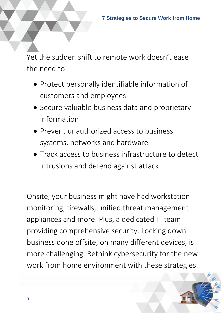Yet the sudden shift to remote work doesn't ease the need to:

- Protect personally identifiable information of customers and employees
- Secure valuable business data and proprietary information
- Prevent unauthorized access to business systems, networks and hardware
- Track access to business infrastructure to detect intrusions and defend against attack

Onsite, your business might have had workstation monitoring, firewalls, unified threat management appliances and more. Plus, a dedicated IT team providing comprehensive security. Locking down business done offsite, on many different devices, is more challenging. Rethink cybersecurity for the new work from home environment with these strategies.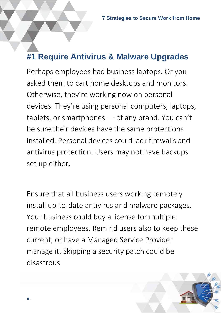#### **#1 Require Antivirus & Malware Upgrades**

Perhaps employees had business laptops. Or you asked them to cart home desktops and monitors. Otherwise, they're working now on personal devices. They're using personal computers, laptops, tablets, or smartphones — of any brand. You can't be sure their devices have the same protections installed. Personal devices could lack firewalls and antivirus protection. Users may not have backups set up either.

Ensure that all business users working remotely install up-to-date antivirus and malware packages. Your business could buy a license for multiple remote employees. Remind users also to keep these current, or have a Managed Service Provider manage it. Skipping a security patch could be disastrous.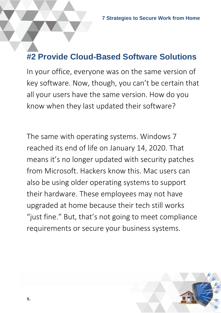#### **#2 Provide Cloud-Based Software Solutions**

In your office, everyone was on the same version of key software. Now, though, you can't be certain that all your users have the same version. How do you know when they last updated their software?

The same with operating systems. Windows 7 reached its end of life on January 14, 2020. That means it's no longer updated with security patches from Microsoft. Hackers know this. Mac users can also be using older operating systems to support their hardware. These employees may not have upgraded at home because their tech still works "just fine." But, that's not going to meet compliance requirements or secure your business systems.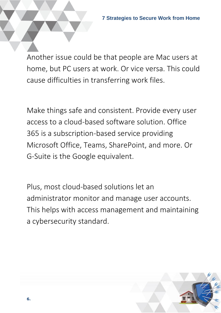Another issue could be that people are Mac users at home, but PC users at work. Or vice versa. This could cause difficulties in transferring work files.

Make things safe and consistent. Provide every user access to a cloud-based software solution. Office 365 is a subscription-based service providing Microsoft Office, Teams, SharePoint, and more. Or G-Suite is the Google equivalent.

Plus, most cloud-based solutions let an administrator monitor and manage user accounts. This helps with access management and maintaining a cybersecurity standard.

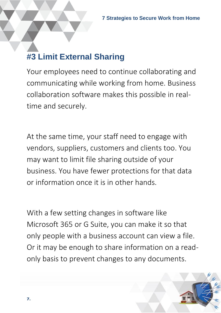#### **#3 Limit External Sharing**

Your employees need to continue collaborating and communicating while working from home. Business collaboration software makes this possible in realtime and securely.

At the same time, your staff need to engage with vendors, suppliers, customers and clients too. You may want to limit file sharing outside of your business. You have fewer protections for that data or information once it is in other hands.

With a few setting changes in software like Microsoft 365 or G Suite, you can make it so that only people with a business account can view a file. Or it may be enough to share information on a readonly basis to prevent changes to any documents.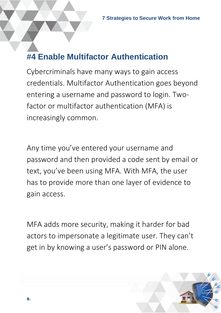#### **#4 Enable Multifactor Authentication**

Cybercriminals have many ways to gain access credentials. Multifactor Authentication goes beyond entering a username and password to login. Twofactor or multifactor authentication (MFA) is increasingly common.

Any time you've entered your username and password and then provided a code sent by email or text, you've been using MFA. With MFA, the user has to provide more than one layer of evidence to gain access.

MFA adds more security, making it harder for bad actors to impersonate a legitimate user. They can't get in by knowing a user's password or PIN alone.

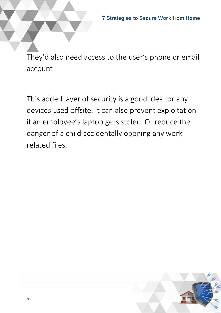They'd also need access to the user's phone or email account.

This added layer of security is a good idea for any devices used offsite. It can also prevent exploitation if an employee's laptop gets stolen. Or reduce the danger of a child accidentally opening any workrelated files.



**9.**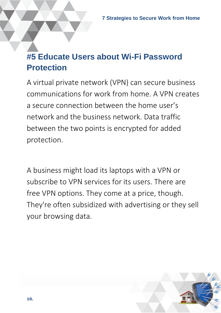#### **#5 Educate Users about Wi-Fi Password Protection**

A virtual private network (VPN) can secure business communications for work from home. A VPN creates a secure connection between the home user's network and the business network. Data traffic between the two points is encrypted for added protection.

A business might load its laptops with a VPN or subscribe to VPN services for its users. There are free VPN options. They come at a price, though. They're often subsidized with advertising or they sell your browsing data.

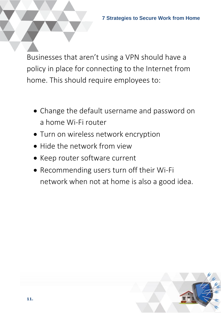Businesses that aren't using a VPN should have a policy in place for connecting to the Internet from home. This should require employees to:

- Change the default username and password on a home Wi-Fi router
- Turn on wireless network encryption
- Hide the network from view
- Keep router software current
- Recommending users turn off their Wi-Fi network when not at home is also a good idea.

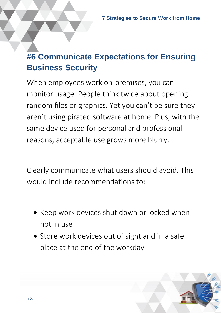#### **#6 Communicate Expectations for Ensuring Business Security**

When employees work on-premises, you can monitor usage. People think twice about opening random files or graphics. Yet you can't be sure they aren't using pirated software at home. Plus, with the same device used for personal and professional reasons, acceptable use grows more blurry.

Clearly communicate what users should avoid. This would include recommendations to:

- Keep work devices shut down or locked when not in use
- Store work devices out of sight and in a safe place at the end of the workday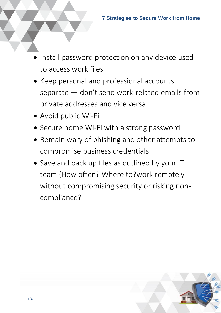- Install password protection on any device used to access work files
- Keep personal and professional accounts separate — don't send work-related emails from private addresses and vice versa
- Avoid public Wi-Fi
- Secure home Wi-Fi with a strong password
- Remain wary of phishing and other attempts to compromise business credentials
- Save and back up files as outlined by your IT team (How often? Where to?work remotely without compromising security or risking noncompliance?

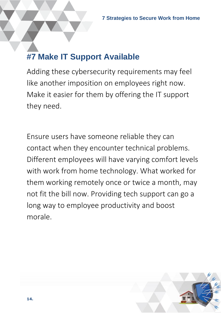#### **#7 Make IT Support Available**

Adding these cybersecurity requirements may feel like another imposition on employees right now. Make it easier for them by offering the IT support they need.

Ensure users have someone reliable they can contact when they encounter technical problems. Different employees will have varying comfort levels with work from home technology. What worked for them working remotely once or twice a month, may not fit the bill now. Providing tech support can go a long way to employee productivity and boost morale.

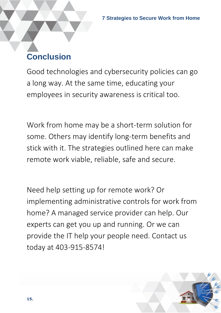#### **Conclusion**

Good technologies and cybersecurity policies can go a long way. At the same time, educating your employees in security awareness is critical too.

Work from home may be a short-term solution for some. Others may identify long-term benefits and stick with it. The strategies outlined here can make remote work viable, reliable, safe and secure.

Need help setting up for remote work? Or implementing administrative controls for work from home? A managed service provider can help. Our experts can get you up and running. Or we can provide the IT help your people need. Contact us today at 403-915-8574!